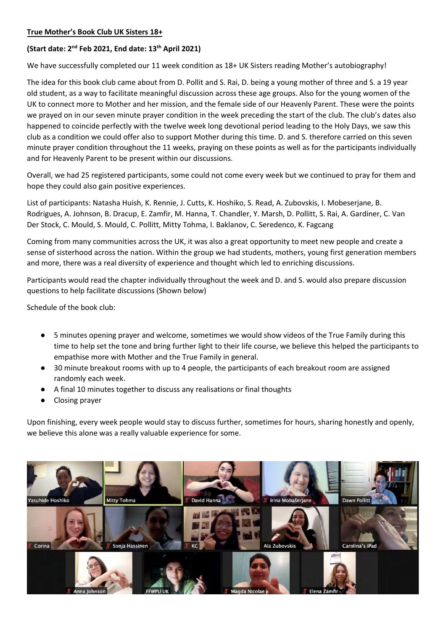# **True Mother's Book Club UK Sisters 18+**

# **(Start date: 2nd Feb 2021, End date: 13th April 2021)**

We have successfully completed our 11 week condition as 18+ UK Sisters reading Mother's autobiography!

The idea for this book club came about from D. Pollit and S. Rai, D. being a young mother of three and S. a 19 year old student, as a way to facilitate meaningful discussion across these age groups. Also for the young women of the UK to connect more to Mother and her mission, and the female side of our Heavenly Parent. These were the points we prayed on in our seven minute prayer condition in the week preceding the start of the club. The club's dates also happened to coincide perfectly with the twelve week long devotional period leading to the Holy Days, we saw this club as a condition we could offer also to support Mother during this time. D. and S. therefore carried on this seven minute prayer condition throughout the 11 weeks, praying on these points as well as for the participants individually and for Heavenly Parent to be present within our discussions.

Overall, we had 25 registered participants, some could not come every week but we continued to pray for them and hope they could also gain positive experiences.

List of participants: Natasha Huish, K. Rennie, J. Cutts, K. Hoshiko, S. Read, A. Zubovskis, I. Mobeserjane, B. Rodrigues, A. Johnson, B. Dracup, E. Zamfir, M. Hanna, T. Chandler, Y. Marsh, D. Pollitt, S. Rai, A. Gardiner, C. Van Der Stock, C. Mould, S. Mould, C. Pollitt, Mitty Tohma, I. Baklanov, C. Seredenco, K. Fagcang

Coming from many communities across the UK, it was also a great opportunity to meet new people and create a sense of sisterhood across the nation. Within the group we had students, mothers, young first generation members and more, there was a real diversity of experience and thought which led to enriching discussions.

Participants would read the chapter individually throughout the week and D. and S. would also prepare discussion questions to help facilitate discussions (Shown below)

Schedule of the book club:

- 5 minutes opening prayer and welcome, sometimes we would show videos of the True Family during this time to help set the tone and bring further light to their life course, we believe this helped the participants to empathise more with Mother and the True Family in general.
- 30 minute breakout rooms with up to 4 people, the participants of each breakout room are assigned randomly each week.
- A final 10 minutes together to discuss any realisations or final thoughts
- Closing prayer

Upon finishing, every week people would stay to discuss further, sometimes for hours, sharing honestly and openly, we believe this alone was a really valuable experience for some.

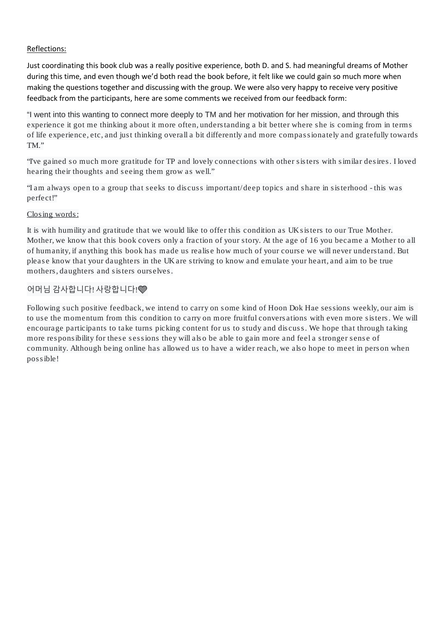# Reflections:

Just coordinating this book club was a really positive experience, both D. and S. had meaningful dreams of Mother during this time, and even though we'd both read the book before, it felt like we could gain so much more when making the questions together and discussing with the group. We were also very happy to receive very positive feedback from the participants, here are some comments we received from our feedback form:

"I went into this wanting to connect more deeply to TM and her motivation for her mission, and through this experience it got me thinking about it more often, understanding a bit better where she is coming from in terms of life experience, etc, and just thinking overall a bit differently and more compassionately and gratefully towards TM."

"I've gained so much more gratitude for TP and lovely connections with other sisters with similar desires. I loved hearing their thoughts and seeing them grow as well."

"I am always open to a group that seeks to discuss important/deep topics and share in sisterhood - this was perfect!"

# Closing words:

It is with humility and gratitude that we would like to offer this condition as UK sisters to our True Mother. Mother, we know that this book covers only a fraction of your story. At the age of 16 you became a Mother to all of humanity, if anything this book has made us realise how much of your course we will never understand. But please know that your daughters in the UK are striving to know and emulate your heart, and aim to be true mothers, daughters and sisters ourselves.

# 어머님 감사합니다! 사랑합니다!

Following such positive feedback, we intend to carry on some kind of Hoon Dok Hae sessions weekly, our aim is to use the momentum from this condition to carry on more fruitful conversations with even more sisters. We will encourage participants to take turns picking content for us to study and discuss. We hope that through taking more responsibility for these sessions they will also be able to gain more and feel a stronger sense of community. Although being online has allowed us to have a wider reach, we also hope to meet in person when possible!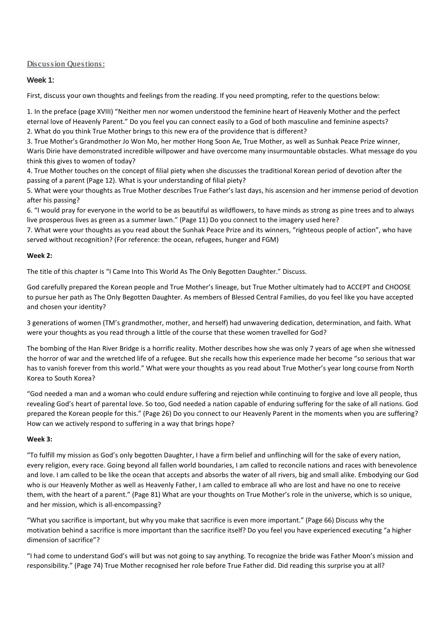## Discussion Questions:

## Week 1:

First, discuss your own thoughts and feelings from the reading. If you need prompting, refer to the questions below:

1. In the preface (page XVIII) "Neither men nor women understood the feminine heart of Heavenly Mother and the perfect eternal love of Heavenly Parent." Do you feel you can connect easily to a God of both masculine and feminine aspects? 2. What do you think True Mother brings to this new era of the providence that is different?

3. True Mother's Grandmother Jo Won Mo, her mother Hong Soon Ae, True Mother, as well as Sunhak Peace Prize winner, Waris Dirie have demonstrated incredible willpower and have overcome many insurmountable obstacles. What message do you think this gives to women of today?

4. True Mother touches on the concept of filial piety when she discusses the traditional Korean period of devotion after the passing of a parent (Page 12). What is your understanding of filial piety?

5. What were your thoughts as True Mother describes True Father's last days, his ascension and her immense period of devotion after his passing?

6. "I would pray for everyone in the world to be as beautiful as wildflowers, to have minds as strong as pine trees and to always live prosperous lives as green as a summer lawn." (Page 11) Do you connect to the imagery used here?

7. What were your thoughts as you read about the Sunhak Peace Prize and its winners, "righteous people of action", who have served without recognition? (For reference: the ocean, refugees, hunger and FGM)

## **Week 2:**

The title of this chapter is "I Came Into This World As The Only Begotten Daughter." Discuss.

God carefully prepared the Korean people and True Mother's lineage, but True Mother ultimately had to ACCEPT and CHOOSE to pursue her path as The Only Begotten Daughter. As members of Blessed Central Families, do you feel like you have accepted and chosen your identity?

3 generations of women (TM's grandmother, mother, and herself) had unwavering dedication, determination, and faith. What were your thoughts as you read through a little of the course that these women travelled for God?

The bombing of the Han River Bridge is a horrific reality. Mother describes how she was only 7 years of age when she witnessed the horror of war and the wretched life of a refugee. But she recalls how this experience made her become "so serious that war has to vanish forever from this world." What were your thoughts as you read about True Mother's year long course from North Korea to South Korea?

"God needed a man and a woman who could endure suffering and rejection while continuing to forgive and love all people, thus revealing God's heart of parental love. So too, God needed a nation capable of enduring suffering for the sake of all nations. God prepared the Korean people for this." (Page 26) Do you connect to our Heavenly Parent in the moments when you are suffering? How can we actively respond to suffering in a way that brings hope?

## **Week 3:**

"To fulfill my mission as God's only begotten Daughter, I have a firm belief and unflinching will for the sake of every nation, every religion, every race. Going beyond all fallen world boundaries, I am called to reconcile nations and races with benevolence and love. I am called to be like the ocean that accepts and absorbs the water of all rivers, big and small alike. Embodying our God who is our Heavenly Mother as well as Heavenly Father, I am called to embrace all who are lost and have no one to receive them, with the heart of a parent." (Page 81) What are your thoughts on True Mother's role in the universe, which is so unique, and her mission, which is all-encompassing?

"What you sacrifice is important, but why you make that sacrifice is even more important." (Page 66) Discuss why the motivation behind a sacrifice is more important than the sacrifice itself? Do you feel you have experienced executing "a higher dimension of sacrifice"?

"I had come to understand God's will but was not going to say anything. To recognize the bride was Father Moon's mission and responsibility." (Page 74) True Mother recognised her role before True Father did. Did reading this surprise you at all?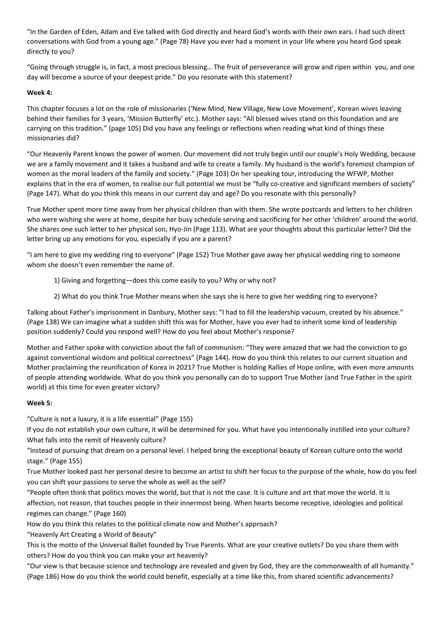"In the Garden of Eden, Adam and Eve talked with God directly and heard God's words with their own ears. I had such direct conversations with God from a young age." (Page 78) Have you ever had a moment in your life where you heard God speak directly to you?

"Going through struggle is, in fact, a most precious blessing… The fruit of perseverance will grow and ripen within you, and one day will become a source of your deepest pride." Do you resonate with this statement?

### **Week 4:**

This chapter focuses a lot on the role of missionaries ('New Mind, New Village, New Love Movement', Korean wives leaving behind their families for 3 years, 'Mission Butterfly' etc.). Mother says: "All blessed wives stand on this foundation and are carrying on this tradition." (page 105) Did you have any feelings or reflections when reading what kind of things these missionaries did?

"Our Heavenly Parent knows the power of women. Our movement did not truly begin until our couple's Holy Wedding, because we are a family movement and it takes a husband and wife to create a family. My husband is the world's foremost champion of women as the moral leaders of the family and society." (Page 103) On her speaking tour, introducing the WFWP, Mother explains that in the era of women, to realise our full potential we must be "fully co-creative and significant members of society" (Page 147). What do you think this means in our current day and age? Do you resonate with this personally?

True Mother spent more time away from her physical children than with them. She wrote postcards and letters to her children who were wishing she were at home, despite her busy schedule serving and sacrificing for her other 'children' around the world. She shares one such letter to her physical son, Hyo-Jin (Page 113). What are your thoughts about this particular letter? Did the letter bring up any emotions for you, especially if you are a parent?

"I am here to give my wedding ring to everyone" (Page 152) True Mother gave away her physical wedding ring to someone whom she doesn't even remember the name of.

- 1) Giving and forgetting—does this come easily to you? Why or why not?
- 2) What do you think True Mother means when she says she is here to give her wedding ring to everyone?

Talking about Father's imprisonment in Danbury, Mother says: "I had to fill the leadership vacuum, created by his absence." (Page 138) We can imagine what a sudden shift this was for Mother, have you ever had to inherit some kind of leadership position suddenly? Could you respond well? How do you feel about Mother's response?

Mother and Father spoke with conviction about the fall of communism: "They were amazed that we had the conviction to go against conventional wisdom and political correctness" (Page 144). How do you think this relates to our current situation and Mother proclaiming the reunification of Korea in 2021? True Mother is holding Rallies of Hope online, with even more amounts of people attending worldwide. What do you think you personally can do to support True Mother (and True Father in the spirit world) at this time for even greater victory?

## **Week 5:**

"Culture is not a luxury, it is a life essential" (Page 155)

If you do not establish your own culture, it will be determined for you. What have you intentionally instilled into your culture? What falls into the remit of Heavenly culture?

"Instead of pursuing that dream on a personal level. I helped bring the exceptional beauty of Korean culture onto the world stage." (Page 155)

True Mother looked past her personal desire to become an artist to shift her focus to the purpose of the whole, how do you feel you can shift your passions to serve the whole as well as the self?

"People often think that politics moves the world, but that is not the case. It is culture and art that move the world. It is affection, not reason, that touches people in their innermost being. When hearts become receptive, ideologies and political regimes can change." (Page 160)

How do you think this relates to the political climate now and Mother's approach?

"Heavenly Art Creating a World of Beauty"

This is the motto of the Universal Ballet founded by True Parents. What are your creative outlets? Do you share them with others? How do you think you can make your art heavenly?

"Our view is that because science and technology are revealed and given by God, they are the commonwealth of all humanity." (Page 186) How do you think the world could benefit, especially at a time like this, from shared scientific advancements?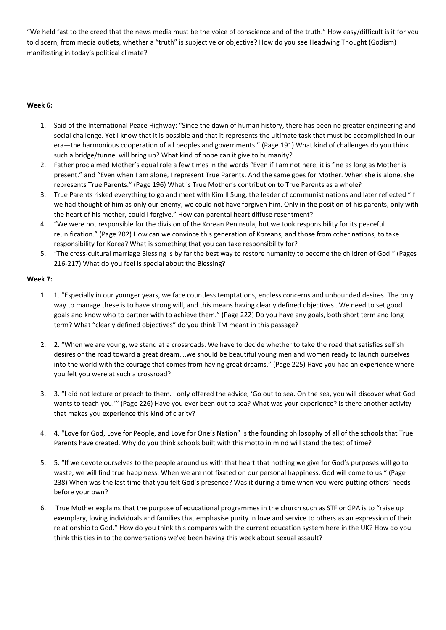"We held fast to the creed that the news media must be the voice of conscience and of the truth." How easy/difficult is it for you to discern, from media outlets, whether a "truth" is subjective or objective? How do you see Headwing Thought (Godism) manifesting in today's political climate?

## **Week 6:**

- 1. Said of the International Peace Highway: "Since the dawn of human history, there has been no greater engineering and social challenge. Yet I know that it is possible and that it represents the ultimate task that must be accomplished in our era—the harmonious cooperation of all peoples and governments." (Page 191) What kind of challenges do you think such a bridge/tunnel will bring up? What kind of hope can it give to humanity?
- 2. Father proclaimed Mother's equal role a few times in the words "Even if I am not here, it is fine as long as Mother is present." and "Even when I am alone, I represent True Parents. And the same goes for Mother. When she is alone, she represents True Parents." (Page 196) What is True Mother's contribution to True Parents as a whole?
- 3. True Parents risked everything to go and meet with Kim Il Sung, the leader of communist nations and later reflected "If we had thought of him as only our enemy, we could not have forgiven him. Only in the position of his parents, only with the heart of his mother, could I forgive." How can parental heart diffuse resentment?
- 4. "We were not responsible for the division of the Korean Peninsula, but we took responsibility for its peaceful reunification." (Page 202) How can we convince this generation of Koreans, and those from other nations, to take responsibility for Korea? What is something that you can take responsibility for?
- 5. "The cross-cultural marriage Blessing is by far the best way to restore humanity to become the children of God." (Pages 216-217) What do you feel is special about the Blessing?

## **Week 7:**

- 1. 1. "Especially in our younger years, we face countless temptations, endless concerns and unbounded desires. The only way to manage these is to have strong will, and this means having clearly defined objectives…We need to set good goals and know who to partner with to achieve them." (Page 222) Do you have any goals, both short term and long term? What "clearly defined objectives" do you think TM meant in this passage?
- 2. 2. "When we are young, we stand at a crossroads. We have to decide whether to take the road that satisfies selfish desires or the road toward a great dream….we should be beautiful young men and women ready to launch ourselves into the world with the courage that comes from having great dreams." (Page 225) Have you had an experience where you felt you were at such a crossroad?
- 3. 3. "I did not lecture or preach to them. I only offered the advice, 'Go out to sea. On the sea, you will discover what God wants to teach you.'" (Page 226) Have you ever been out to sea? What was your experience? Is there another activity that makes you experience this kind of clarity?
- 4. 4. "Love for God, Love for People, and Love for One's Nation" is the founding philosophy of all of the schools that True Parents have created. Why do you think schools built with this motto in mind will stand the test of time?
- 5. 5. "If we devote ourselves to the people around us with that heart that nothing we give for God's purposes will go to waste, we will find true happiness. When we are not fixated on our personal happiness, God will come to us." (Page 238) When was the last time that you felt God's presence? Was it during a time when you were putting others' needs before your own?
- 6. True Mother explains that the purpose of educational programmes in the church such as STF or GPA is to "raise up exemplary, loving individuals and families that emphasise purity in love and service to others as an expression of their relationship to God." How do you think this compares with the current education system here in the UK? How do you think this ties in to the conversations we've been having this week about sexual assault?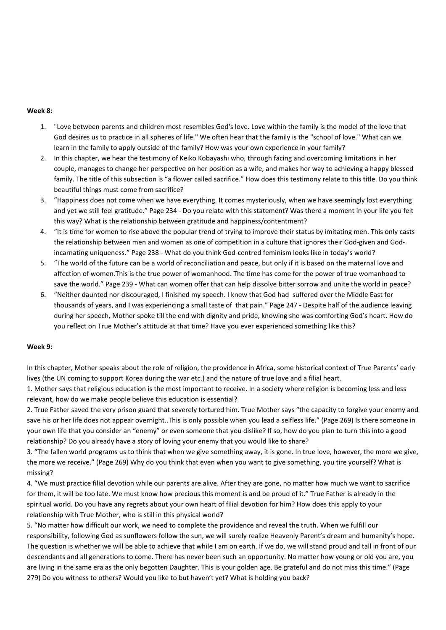### **Week 8:**

- 1. "Love between parents and children most resembles God's love. Love within the family is the model of the love that God desires us to practice in all spheres of life." We often hear that the family is the "school of love." What can we learn in the family to apply outside of the family? How was your own experience in your family?
- 2. In this chapter, we hear the testimony of Keiko Kobayashi who, through facing and overcoming limitations in her couple, manages to change her perspective on her position as a wife, and makes her way to achieving a happy blessed family. The title of this subsection is "a flower called sacrifice." How does this testimony relate to this title. Do you think beautiful things must come from sacrifice?
- 3. "Happiness does not come when we have everything. It comes mysteriously, when we have seemingly lost everything and yet we still feel gratitude." Page 234 - Do you relate with this statement? Was there a moment in your life you felt this way? What is the relationship between gratitude and happiness/contentment?
- 4. "It is time for women to rise above the popular trend of trying to improve their status by imitating men. This only casts the relationship between men and women as one of competition in a culture that ignores their God-given and Godincarnating uniqueness." Page 238 - What do you think God-centred feminism looks like in today's world?
- 5. "The world of the future can be a world of reconciliation and peace, but only if it is based on the maternal love and affection of women.This is the true power of womanhood. The time has come for the power of true womanhood to save the world." Page 239 - What can women offer that can help dissolve bitter sorrow and unite the world in peace?
- 6. "Neither daunted nor discouraged, I finished my speech. I knew that God had suffered over the Middle East for thousands of years, and I was experiencing a small taste of that pain." Page 247 - Despite half of the audience leaving during her speech, Mother spoke till the end with dignity and pride, knowing she was comforting God's heart. How do you reflect on True Mother's attitude at that time? Have you ever experienced something like this?

#### **Week 9:**

In this chapter, Mother speaks about the role of religion, the providence in Africa, some historical context of True Parents' early lives (the UN coming to support Korea during the war etc.) and the nature of true love and a filial heart.

1. Mother says that religious education is the most important to receive. In a society where religion is becoming less and less relevant, how do we make people believe this education is essential?

2. True Father saved the very prison guard that severely tortured him. True Mother says "the capacity to forgive your enemy and save his or her life does not appear overnight..This is only possible when you lead a selfless life." (Page 269) Is there someone in your own life that you consider an "enemy" or even someone that you dislike? If so, how do you plan to turn this into a good relationship? Do you already have a story of loving your enemy that you would like to share?

3. "The fallen world programs us to think that when we give something away, it is gone. In true love, however, the more we give, the more we receive." (Page 269) Why do you think that even when you want to give something, you tire yourself? What is missing?

4. "We must practice filial devotion while our parents are alive. After they are gone, no matter how much we want to sacrifice for them, it will be too late. We must know how precious this moment is and be proud of it." True Father is already in the spiritual world. Do you have any regrets about your own heart of filial devotion for him? How does this apply to your relationship with True Mother, who is still in this physical world?

5. "No matter how difficult our work, we need to complete the providence and reveal the truth. When we fulfill our responsibility, following God as sunflowers follow the sun, we will surely realize Heavenly Parent's dream and humanity's hope. The question is whether we will be able to achieve that while I am on earth. If we do, we will stand proud and tall in front of our descendants and all generations to come. There has never been such an opportunity. No matter how young or old you are, you are living in the same era as the only begotten Daughter. This is your golden age. Be grateful and do not miss this time." (Page 279) Do you witness to others? Would you like to but haven't yet? What is holding you back?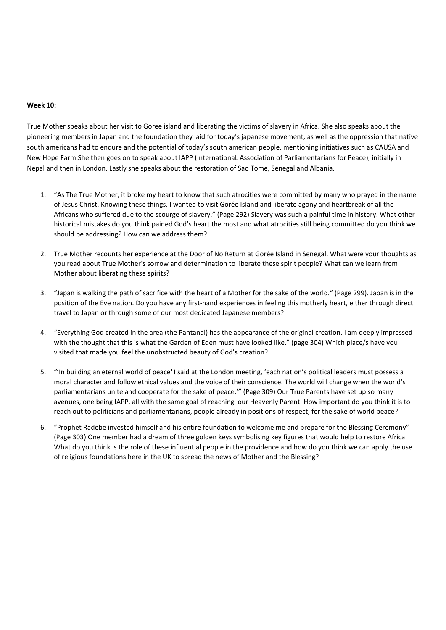#### **Week 10:**

True Mother speaks about her visit to Goree island and liberating the victims of slavery in Africa. She also speaks about the pioneering members in Japan and the foundation they laid for today's japanese movement, as well as the oppression that native south americans had to endure and the potential of today's south american people, mentioning initiatives such as CAUSA and New Hope Farm.She then goes on to speak about IAPP (InternationaL Association of Parliamentarians for Peace), initially in Nepal and then in London. Lastly she speaks about the restoration of Sao Tome, Senegal and Albania.

- 1. "As The True Mother, it broke my heart to know that such atrocities were committed by many who prayed in the name of Jesus Christ. Knowing these things, I wanted to visit Gorée Island and liberate agony and heartbreak of all the Africans who suffered due to the scourge of slavery." (Page 292) Slavery was such a painful time in history. What other historical mistakes do you think pained God's heart the most and what atrocities still being committed do you think we should be addressing? How can we address them?
- 2. True Mother recounts her experience at the Door of No Return at Gorée Island in Senegal. What were your thoughts as you read about True Mother's sorrow and determination to liberate these spirit people? What can we learn from Mother about liberating these spirits?
- 3. "Japan is walking the path of sacrifice with the heart of a Mother for the sake of the world." (Page 299). Japan is in the position of the Eve nation. Do you have any first-hand experiences in feeling this motherly heart, either through direct travel to Japan or through some of our most dedicated Japanese members?
- 4. "Everything God created in the area (the Pantanal) has the appearance of the original creation. I am deeply impressed with the thought that this is what the Garden of Eden must have looked like." (page 304) Which place/s have you visited that made you feel the unobstructed beauty of God's creation?
- 5. "'In building an eternal world of peace' I said at the London meeting, 'each nation's political leaders must possess a moral character and follow ethical values and the voice of their conscience. The world will change when the world's parliamentarians unite and cooperate for the sake of peace.'" (Page 309) Our True Parents have set up so many avenues, one being IAPP, all with the same goal of reaching our Heavenly Parent. How important do you think it is to reach out to politicians and parliamentarians, people already in positions of respect, for the sake of world peace?
- 6. "Prophet Radebe invested himself and his entire foundation to welcome me and prepare for the Blessing Ceremony" (Page 303) One member had a dream of three golden keys symbolising key figures that would help to restore Africa. What do you think is the role of these influential people in the providence and how do you think we can apply the use of religious foundations here in the UK to spread the news of Mother and the Blessing?